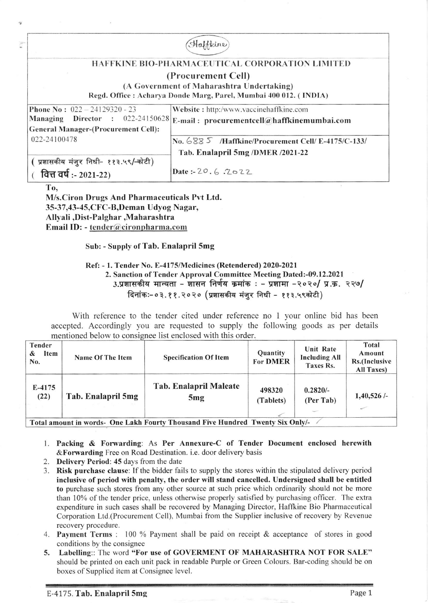|                                                   | Haffkine                                                          |
|---------------------------------------------------|-------------------------------------------------------------------|
|                                                   | <b>HAFFKINE BIO-PHARMACEUTICAL CORPORATION LIMITED</b>            |
|                                                   | (Procurement Cell)                                                |
|                                                   | (A Government of Maharashtra Undertaking)                         |
|                                                   | Regd. Office : Acharya Donde Marg, Parel, Mumbai 400 012. (INDIA) |
| <b>Phone No: <math>022 - 24129320 - 23</math></b> | Website: http:/www.vaccinehaffkine.com                            |
| <b>Director</b> : 022-24150628<br>Managing        | E-mail: procurementcell $@$ haffkinemumbai.com                    |
| <b>General Manager-(Procurement Cell):</b>        |                                                                   |
| 022-24100478                                      | No. 688 5 /Haffkine/Procurement Cell/ E-4175/C-133/               |
|                                                   | Tab. Enalapril 5mg /DMER /2021-22                                 |
| प्रशासकीय मंजुर निधी- ११३.५९/-कोटी)               |                                                                   |
| वित्त वर्ष: - 2021-22)                            | Date: $-20.6.7022$                                                |
| To,                                               |                                                                   |

M/s.Ciron Drugs And Pharmaceuticals Pvt Ltd. 35-37,43-45, CFC-B, Deman Udyog Nagar, Allyali,Dist-Palghar,Maharashtra Email ID: - tender@cironpharma.com

Sub: - Supply of Tab. Enalapril 5mg

Ref: - l. Tender No. E-4175lMedicines (Retendercd) 2020-2021 2. Sanction of Tcnder Approval Committee Mecting Dated:-09.12,2021 sanction of renter ripproval committee incentig bated; obtigued:<br>3.प्रशासकीय मान्यता − शासन निर्णय क्रमांक : – प्रशामा −२०२०/ प्र.क्र. २२७/ दिनांकः-०३.११.२०२० (प्रशासकीय मंजुर निधी - ११३.५९कोटी)

With reference to the tender cited under reference no 1 your online bid has been accepted. Accordingly you are requested to supply the following goods as per details mentioned below to consignee list enclosed with this order.

| <b>Tender</b><br>Item<br>&<br>No. | Name Of The Item   | <b>Specification Of Item</b>                                                        | Quantity<br><b>For DMER</b> | Unit Rate<br><b>Including All</b><br>Taxes Rs. | Total<br>Amount<br>Rs.(Inclusive<br>All Taxes) |
|-----------------------------------|--------------------|-------------------------------------------------------------------------------------|-----------------------------|------------------------------------------------|------------------------------------------------|
| E-4175<br>(22)                    | Tab. Enalapril 5mg | Tab. Enalapril Maleate<br>5mg<br>$0.11 B$ $1.01$ $1.01$ $1.01$ $1.01$ $1.01$ $0.11$ | 498320<br>(Tablets)         | $0.2820/-$<br>(Per Tab)                        | 1,40,526/                                      |

Total amount in words- One Lakh Fourty Thousand Five Hundred Twenty Six Only/-

- l. Packing & Forwarding: As Per Annexure-C of Tender Document enclosed herewilh &Forwarding Free on Road Destination. i.e. door delivery basis
- 2. Delivery Period: 45 days from the date
- 3. Risk purchase clause: If the bidder fails to supply the stores within the stipulated delivery period inclusive of period with penalty, the order will stand cancelled. Undersigned shall be entitled to purchase such stores from any other source at such price which ordinarily should not be more than 10% of the tender price, unless otherwise properly satisfied by purchasing officer. The extra expenditure in such cases shall be recovered by Managing Director, Hafikine Bio Pharmaceutical Corporation Ltd.(Procurement Cell). Mumbai from the Supplier inclusive of recovery by Revenue recovery procedure.
- 4. Payment Terms : 100 % Payment shall be paid on receipt & acceptance of stores in good conditions by the consignee
- 5. Labelling:: The word "For use of GOVERMENT OF MAHARASHTRA NOT FOR SALE" should be printed on each unit pack in readable Purple or Green Colours. Bar-coding should be on boxes of Supplied item at Consignee level.